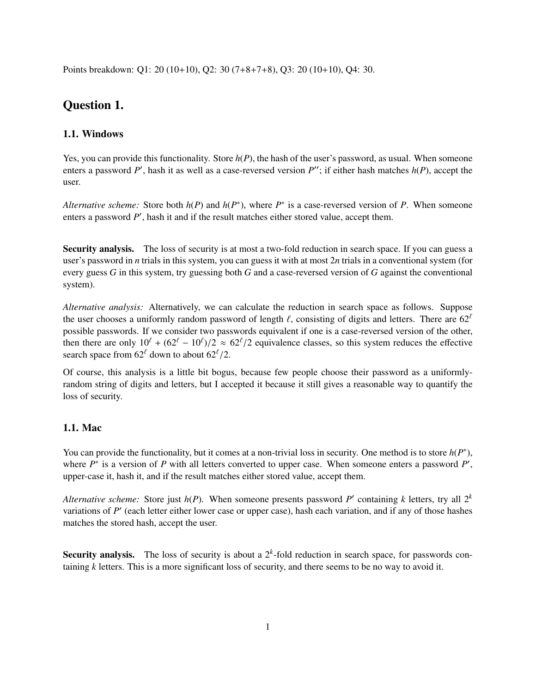Points breakdown: Q1: 20 (10+10), Q2: 30 (7+8+7+8), Q3: 20 (10+10), Q4: 30.

# Question 1.

# 1.1. Windows

Yes, you can provide this functionality. Store  $h(P)$ , the hash of the user's password, as usual. When someone enters a password  $P'$ , hash it as well as a case-reversed version  $P''$ ; if either hash matches  $h(P)$ , accept the user.

*Alternative scheme:* Store both  $h(P)$  and  $h(P^*)$ , where  $P^*$  is a case-reversed version of P. When someone enters a password P', hash it and if the result matches either stored value, accept them.

Security analysis. The loss of security is at most a two-fold reduction in search space. If you can guess a user's password in *n* trials in this system, you can guess it with at most 2*n* trials in a conventional system (for every guess *G* in this system, try guessing both *G* and a case-reversed version of *G* against the conventional system).

*Alternative analysis:* Alternatively, we can calculate the reduction in search space as follows. Suppose the user chooses a uniformly random password of length  $\ell$ , consisting of digits and letters. There are  $62^{\ell}$ possible passwords. If we consider two passwords equivalent if one is a case-reversed version of the other, then there are only  $10^{\ell} + (62^{\ell} - 10^{\ell})/2 \approx 62^{\ell}/2$  equivalence classes, so this system reduces the effective search space from 62<sup> $\ell$ </sup> down to about 62<sup> $\ell$ </sup>/2 search space from  $62^{\ell}$  down to about  $62^{\ell}/2$ .

Of course, this analysis is a little bit bogus, because few people choose their password as a uniformlyrandom string of digits and letters, but I accepted it because it still gives a reasonable way to quantify the loss of security.

### 1.1. Mac

You can provide the functionality, but it comes at a non-trivial loss in security. One method is to store  $h(P^*)$ , where  $P^*$  is a version of  $P$  with all letters converted to upper case. When someone enters a password  $P'$ , upper-case it, hash it, and if the result matches either stored value, accept them.

*Alternative scheme:* Store just  $h(P)$ . When someone presents password P' containing *k* letters, try all  $2^k$ variations of P' (each letter either lower case or upper case), hash each variation, and if any of those hashes matches the stored hash, accept the user.

**Security analysis.** The loss of security is about a  $2<sup>k</sup>$ -fold reduction in search space, for passwords containing *k* letters. This is a more significant loss of security, and there seems to be no way to avoid it.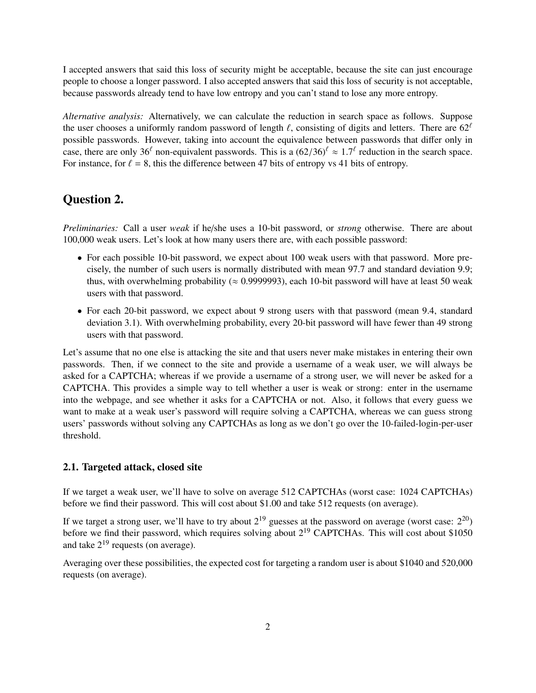I accepted answers that said this loss of security might be acceptable, because the site can just encourage people to choose a longer password. I also accepted answers that said this loss of security is not acceptable, because passwords already tend to have low entropy and you can't stand to lose any more entropy.

*Alternative analysis:* Alternatively, we can calculate the reduction in search space as follows. Suppose the user chooses a uniformly random password of length  $\ell$ , consisting of digits and letters. There are  $62^{\ell}$ possible passwords. However, taking into account the equivalence between passwords that differ only in case, there are only 36<sup> $\ell$ </sup> non-equivalent passwords. This is a  $(62/36)^{\ell} \approx 1.7^{\ell}$  reduction in the search space.<br>For instance, for  $\ell = 8$ , this the difference between 47 bits of entropy ys 41 bits of entropy. For instance, for  $\ell = 8$ , this the difference between 47 bits of entropy vs 41 bits of entropy.

# Question 2.

*Preliminaries:* Call a user *weak* if he/she uses a 10-bit password, or *strong* otherwise. There are about 100,000 weak users. Let's look at how many users there are, with each possible password:

- For each possible 10-bit password, we expect about 100 weak users with that password. More precisely, the number of such users is normally distributed with mean 97.7 and standard deviation 9.9; thus, with overwhelming probability ( $\approx 0.9999993$ ), each 10-bit password will have at least 50 weak users with that password.
- For each 20-bit password, we expect about 9 strong users with that password (mean 9.4, standard deviation 3.1). With overwhelming probability, every 20-bit password will have fewer than 49 strong users with that password.

Let's assume that no one else is attacking the site and that users never make mistakes in entering their own passwords. Then, if we connect to the site and provide a username of a weak user, we will always be asked for a CAPTCHA; whereas if we provide a username of a strong user, we will never be asked for a CAPTCHA. This provides a simple way to tell whether a user is weak or strong: enter in the username into the webpage, and see whether it asks for a CAPTCHA or not. Also, it follows that every guess we want to make at a weak user's password will require solving a CAPTCHA, whereas we can guess strong users' passwords without solving any CAPTCHAs as long as we don't go over the 10-failed-login-per-user threshold.

### 2.1. Targeted attack, closed site

If we target a weak user, we'll have to solve on average 512 CAPTCHAs (worst case: 1024 CAPTCHAs) before we find their password. This will cost about \$1.00 and take 512 requests (on average).

If we target a strong user, we'll have to try about  $2^{19}$  guesses at the password on average (worst case:  $2^{20}$ ) before we find their password, which requires solving about  $2^{19}$  CAPTCHAs. This will cost about \$1050 and take  $2^{19}$  requests (on average).

Averaging over these possibilities, the expected cost for targeting a random user is about \$1040 and 520,000 requests (on average).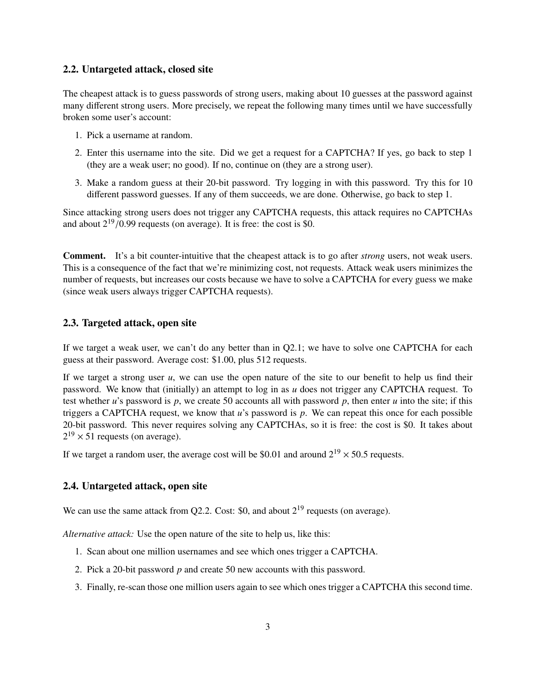#### 2.2. Untargeted attack, closed site

The cheapest attack is to guess passwords of strong users, making about 10 guesses at the password against many different strong users. More precisely, we repeat the following many times until we have successfully broken some user's account:

- 1. Pick a username at random.
- 2. Enter this username into the site. Did we get a request for a CAPTCHA? If yes, go back to step 1 (they are a weak user; no good). If no, continue on (they are a strong user).
- 3. Make a random guess at their 20-bit password. Try logging in with this password. Try this for 10 different password guesses. If any of them succeeds, we are done. Otherwise, go back to step 1.

Since attacking strong users does not trigger any CAPTCHA requests, this attack requires no CAPTCHAs and about  $2^{19}/0.99$  requests (on average). It is free: the cost is \$0.

Comment. It's a bit counter-intuitive that the cheapest attack is to go after *strong* users, not weak users. This is a consequence of the fact that we're minimizing cost, not requests. Attack weak users minimizes the number of requests, but increases our costs because we have to solve a CAPTCHA for every guess we make (since weak users always trigger CAPTCHA requests).

#### 2.3. Targeted attack, open site

If we target a weak user, we can't do any better than in Q2.1; we have to solve one CAPTCHA for each guess at their password. Average cost: \$1.00, plus 512 requests.

If we target a strong user *u*, we can use the open nature of the site to our benefit to help us find their password. We know that (initially) an attempt to log in as *u* does not trigger any CAPTCHA request. To test whether *u*'s password is *p*, we create 50 accounts all with password *p*, then enter *u* into the site; if this triggers a CAPTCHA request, we know that *u*'s password is *p*. We can repeat this once for each possible 20-bit password. This never requires solving any CAPTCHAs, so it is free: the cost is \$0. It takes about  $2^{19} \times 51$  requests (on average).

If we target a random user, the average cost will be \$0.01 and around  $2^{19} \times 50.5$  requests.

# 2.4. Untargeted attack, open site

We can use the same attack from Q2.2. Cost: \$0, and about  $2^{19}$  requests (on average).

*Alternative attack:* Use the open nature of the site to help us, like this:

- 1. Scan about one million usernames and see which ones trigger a CAPTCHA.
- 2. Pick a 20-bit password *p* and create 50 new accounts with this password.
- 3. Finally, re-scan those one million users again to see which ones trigger a CAPTCHA this second time.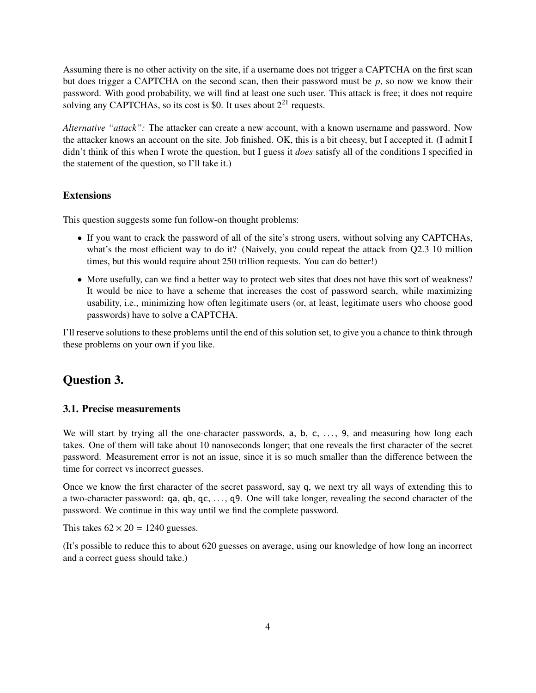Assuming there is no other activity on the site, if a username does not trigger a CAPTCHA on the first scan but does trigger a CAPTCHA on the second scan, then their password must be *p*, so now we know their password. With good probability, we will find at least one such user. This attack is free; it does not require solving any CAPTCHAs, so its cost is \$0. It uses about  $2^{21}$  requests.

*Alternative "attack":* The attacker can create a new account, with a known username and password. Now the attacker knows an account on the site. Job finished. OK, this is a bit cheesy, but I accepted it. (I admit I didn't think of this when I wrote the question, but I guess it *does* satisfy all of the conditions I specified in the statement of the question, so I'll take it.)

### Extensions

This question suggests some fun follow-on thought problems:

- If you want to crack the password of all of the site's strong users, without solving any CAPTCHAs, what's the most efficient way to do it? (Naively, you could repeat the attack from Q2.3 10 million times, but this would require about 250 trillion requests. You can do better!)
- More usefully, can we find a better way to protect web sites that does not have this sort of weakness? It would be nice to have a scheme that increases the cost of password search, while maximizing usability, i.e., minimizing how often legitimate users (or, at least, legitimate users who choose good passwords) have to solve a CAPTCHA.

I'll reserve solutions to these problems until the end of this solution set, to give you a chance to think through these problems on your own if you like.

# Question 3.

#### 3.1. Precise measurements

We will start by trying all the one-character passwords, a, b, c, ..., 9, and measuring how long each takes. One of them will take about 10 nanoseconds longer; that one reveals the first character of the secret password. Measurement error is not an issue, since it is so much smaller than the difference between the time for correct vs incorrect guesses.

Once we know the first character of the secret password, say q, we next try all ways of extending this to a two-character password: qa, qb, qc, . . . , q9. One will take longer, revealing the second character of the password. We continue in this way until we find the complete password.

This takes  $62 \times 20 = 1240$  guesses.

(It's possible to reduce this to about 620 guesses on average, using our knowledge of how long an incorrect and a correct guess should take.)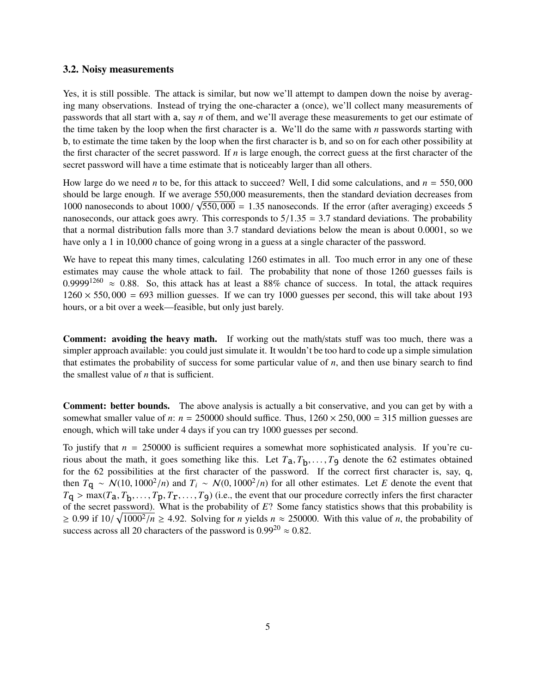#### 3.2. Noisy measurements

Yes, it is still possible. The attack is similar, but now we'll attempt to dampen down the noise by averaging many observations. Instead of trying the one-character a (once), we'll collect many measurements of passwords that all start with a, say *n* of them, and we'll average these measurements to get our estimate of the time taken by the loop when the first character is a. We'll do the same with *n* passwords starting with b, to estimate the time taken by the loop when the first character is b, and so on for each other possibility at the first character of the secret password. If *n* is large enough, the correct guess at the first character of the secret password will have a time estimate that is noticeably larger than all others.

How large do we need *<sup>n</sup>* to be, for this attack to succeed? Well, I did some calculations, and *<sup>n</sup>* <sup>=</sup> <sup>550</sup>, <sup>000</sup> should be large enough. If we average 550,000 measurements, then the standard deviation decreases from 1000 nanoseconds to about  $1000/\sqrt{550}$ ,  $000 = 1.35$  nanoseconds. If the error (after averaging) exceeds 5<br>nanoseconds, our attack goes awry. This corresponds to  $5/1.35 - 3.7$  standard deviations. The probability nanoseconds, our attack goes awry. This corresponds to  $5/1.35 = 3.7$  standard deviations. The probability that a normal distribution falls more than 3.7 standard deviations below the mean is about 0.0001, so we have only a 1 in 10,000 chance of going wrong in a guess at a single character of the password.

We have to repeat this many times, calculating 1260 estimates in all. Too much error in any one of these estimates may cause the whole attack to fail. The probability that none of those 1260 guesses fails is 0.9999<sup>1260</sup>  $\approx$  0.88. So, this attack has at least a 88% chance of success. In total, the attack requires  $1260 \times 550,000 = 693$  million guesses. If we can try 1000 guesses per second, this will take about 193 hours, or a bit over a week—feasible, but only just barely.

Comment: avoiding the heavy math. If working out the math/stats stuff was too much, there was a simpler approach available: you could just simulate it. It wouldn't be too hard to code up a simple simulation that estimates the probability of success for some particular value of *n*, and then use binary search to find the smallest value of *n* that is sufficient.

Comment: better bounds. The above analysis is actually a bit conservative, and you can get by with a somewhat smaller value of *n*:  $n = 250000$  should suffice. Thus,  $1260 \times 250,000 = 315$  million guesses are enough, which will take under 4 days if you can try 1000 guesses per second.

To justify that  $n = 250000$  is sufficient requires a somewhat more sophisticated analysis. If you're curious about the math, it goes something like this. Let  $T_a$ ,  $T_b$ , ...,  $T_9$  denote the 62 estimates obtained<br>for the 62 possibilities at the first character of the password. If the correct first character is, say a for the 62 possibilities at the first character of the password. If the correct first character is, say, q, then  $T_{\mathbf{q}} \sim \mathcal{N}(10, 1000^2/n)$  and  $T_i \sim \mathcal{N}(0, 1000^2/n)$  for all other estimates. Let *E* denote the event that  $T_{\mathbf{r}} \sim \mathcal{N}(T_{\mathbf{r}})$   $T_{\mathbf{r}}$   $T_{\mathbf{r}}$   $T_{\mathbf{r}}$   $T_{\mathbf{r}}$   $T_{\mathbf{r}}$   $T_{\mathbf{r}}$   $T_{\mathbf{r$  $T_{\mathbf{q}} > \max(T_{\mathbf{a}}, T_{\mathbf{b}}, \dots, T_{\mathbf{p}}, T_{\mathbf{r}}, \dots, T_{\mathbf{g}})$  (i.e., the event that our procedure correctly infers the first character<br>of the secret password). What is the probability of  $F$ ? Some fancy statistics shows th of the secret password). What is the probability of *E*? Some fancy statistics shows that this probability is ≥ 0.99 if  $10/\sqrt{1000^2/n}$  ≥ 4.92. Solving for *n* yields  $n \approx 250000$ . With this value of *n*, the probability of success across all 20 characters of the password is  $0.99^{20} \approx 0.82$ .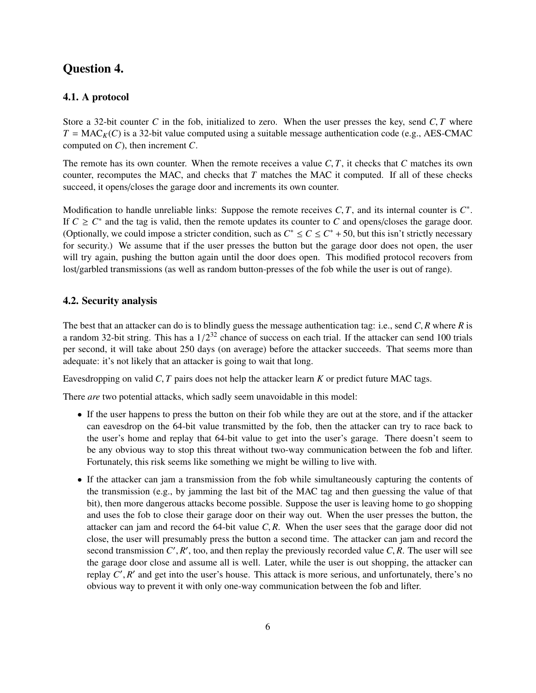# Question 4.

## 4.1. A protocol

Store a 32-bit counter *C* in the fob, initialized to zero. When the user presses the key, send *C*, *T* where  $T = MAC_K(C)$  is a 32-bit value computed using a suitable message authentication code (e.g., AES-CMAC) computed on *C*), then increment *C*.

The remote has its own counter. When the remote receives a value *<sup>C</sup>*, *<sup>T</sup>*, it checks that *<sup>C</sup>* matches its own counter, recomputes the MAC, and checks that *T* matches the MAC it computed. If all of these checks succeed, it opens/closes the garage door and increments its own counter.

Modification to handle unreliable links: Suppose the remote receives *C*, *T*, and its internal counter is  $C^*$ .<br>If  $C > C^*$  and the tag is valid, then the remote undates its counter to *C* and opens/closes the garage doo If  $C \geq C^*$  and the tag is valid, then the remote updates its counter to *C* and opens/closes the garage door. (Optionally, we could impose a stricter condition, such as  $C^* \leq C \leq C^* + 50$ , but this isn't strictly necessary for security.) We assume that if the user presses the button but the garage door does not open, the user will try again, pushing the button again until the door does open. This modified protocol recovers from lost/garbled transmissions (as well as random button-presses of the fob while the user is out of range).

## 4.2. Security analysis

The best that an attacker can do is to blindly guess the message authentication tag: i.e., send *<sup>C</sup>*, *<sup>R</sup>* where *<sup>R</sup>* is a random 32-bit string. This has a  $1/2^{32}$  chance of success on each trial. If the attacker can send 100 trials<br>per second it will take about 250 days (on average) before the attacker succeeds. That seems more than per second, it will take about 250 days (on average) before the attacker succeeds. That seems more than adequate: it's not likely that an attacker is going to wait that long.

Eavesdropping on valid *<sup>C</sup>*, *<sup>T</sup>* pairs does not help the attacker learn *<sup>K</sup>* or predict future MAC tags.

There *are* two potential attacks, which sadly seem unavoidable in this model:

- If the user happens to press the button on their fob while they are out at the store, and if the attacker can eavesdrop on the 64-bit value transmitted by the fob, then the attacker can try to race back to the user's home and replay that 64-bit value to get into the user's garage. There doesn't seem to be any obvious way to stop this threat without two-way communication between the fob and lifter. Fortunately, this risk seems like something we might be willing to live with.
- If the attacker can jam a transmission from the fob while simultaneously capturing the contents of the transmission (e.g., by jamming the last bit of the MAC tag and then guessing the value of that bit), then more dangerous attacks become possible. Suppose the user is leaving home to go shopping and uses the fob to close their garage door on their way out. When the user presses the button, the attacker can jam and record the 64-bit value *<sup>C</sup>*, *<sup>R</sup>*. When the user sees that the garage door did not close, the user will presumably press the button a second time. The attacker can jam and record the second transmission  $C'$ ,  $R'$ , too, and then replay the previously recorded value  $C$ ,  $R$ . The user will see<br>the garage door close and assume all is well. Later, while the user is out shopping, the attacker can the garage door close and assume all is well. Later, while the user is out shopping, the attacker can replay *C'*, *R'* and get into the user's house. This attack is more serious, and unfortunately, there's no<br>obvious way to prevent it with only one-way communication between the fob and lifter obvious way to prevent it with only one-way communication between the fob and lifter.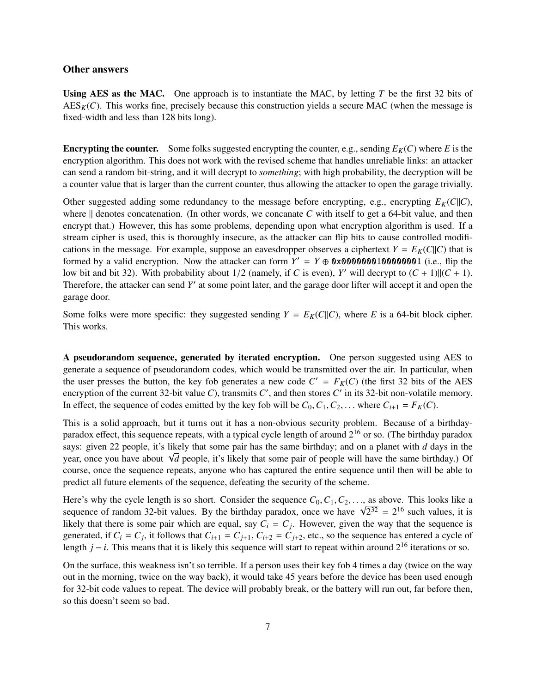#### Other answers

Using AES as the MAC. One approach is to instantiate the MAC, by letting *T* be the first 32 bits of  $\text{AES}_K(C)$ . This works fine, precisely because this construction yields a secure MAC (when the message is fixed-width and less than 128 bits long).

**Encrypting the counter.** Some folks suggested encrypting the counter, e.g., sending  $E_K(C)$  where *E* is the encryption algorithm. This does not work with the revised scheme that handles unreliable links: an attacker can send a random bit-string, and it will decrypt to *something*; with high probability, the decryption will be a counter value that is larger than the current counter, thus allowing the attacker to open the garage trivially.

Other suggested adding some redundancy to the message before encrypting, e.g., encrypting  $E_K(C||C)$ , where  $\parallel$  denotes concatenation. (In other words, we concanate *C* with itself to get a 64-bit value, and then encrypt that.) However, this has some problems, depending upon what encryption algorithm is used. If a stream cipher is used, this is thoroughly insecure, as the attacker can flip bits to cause controlled modifications in the message. For example, suppose an eavesdropper observes a ciphertext  $Y = E_K(C||C)$  that is formed by a valid encryption. Now the attacker can form  $Y' = Y \oplus 0 \times 0000000100000001$  (i.e., flip the low bit and bit 32). With probability about  $1/2$  (namely, if *C* is even), *Y'* will decrypt to  $(C + 1)||(C + 1)$ .<br>Therefore the attacker can send *Y'* at some point later, and the garage door lifter will accept it and open Therefore, the attacker can send Y' at some point later, and the garage door lifter will accept it and open the garage door.

Some folks were more specific: they suggested sending  $Y = E_K(C||C)$ , where *E* is a 64-bit block cipher. This works.

A pseudorandom sequence, generated by iterated encryption. One person suggested using AES to generate a sequence of pseudorandom codes, which would be transmitted over the air. In particular, when the user presses the button, the key fob generates a new code  $C' = F_K(C)$  (the first 32 bits of the AES encryption of the current 32-bit value C), transmits  $C'$ , and then stores  $C'$  in its 32-bit non-volatile memory. In effect, the sequence of codes emitted by the key fob will be  $C_0, C_1, C_2, \ldots$  where  $C_{i+1} = F_K(C)$ .

This is a solid approach, but it turns out it has a non-obvious security problem. Because of a birthdayparadox effect, this sequence repeats, with a typical cycle length of around  $2^{16}$  or so. (The birthday paradox says: given 22 people, it's likely that some pair has the same birthday; and on a planet with *d* days in the says: given 22 people, it s likely that some pair has the same birthday; and on a planet with *a* days in the year, once you have about √*d* people, it's likely that some pair of people will have the same birthday.) Of course, once the sequence repeats, anyone who has captured the entire sequence until then will be able to predict all future elements of the sequence, defeating the security of the scheme.

Here's why the cycle length is so short. Consider the sequence  $C_0, C_1, C_2, \ldots$ , as above. This looks like a Here's why the cycle length is so short. Consider the sequence  $C_0, C_1, C_2, \ldots$ , as above. This looks like a sequence of random 32-bit values. By the birthday paradox, once we have  $\sqrt{2^{32}} = 2^{16}$  such values, it is likely that there is some pair which are equal, say  $C_i = C_j$ . However, given the way that the sequence is generated, if  $C_i = C_j$ , it follows that  $C_{i+1} = C_{j+1}$ ,  $C_{i+2} = C_{j+2}$ , etc., so the sequence has entered a cycle of length *j* − *i*. This means that it is likely this sequence will start to repeat within around 2<sup>16</sup> iterations or so.

On the surface, this weakness isn't so terrible. If a person uses their key fob 4 times a day (twice on the way out in the morning, twice on the way back), it would take 45 years before the device has been used enough for 32-bit code values to repeat. The device will probably break, or the battery will run out, far before then, so this doesn't seem so bad.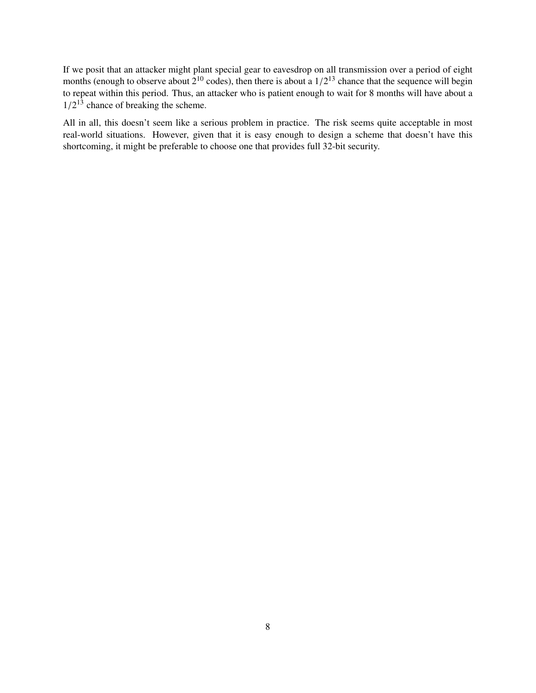If we posit that an attacker might plant special gear to eavesdrop on all transmission over a period of eight months (enough to observe about  $2^{10}$  codes), then there is about a  $1/2^{13}$  chance that the sequence will begin<br>to repeat within this period. Thus, an attacker who is patient enough to wait for 8 months will have abou to repeat within this period. Thus, an attacker who is patient enough to wait for 8 months will have about a  $1/2^{13}$  chance of breaking the scheme.

All in all, this doesn't seem like a serious problem in practice. The risk seems quite acceptable in most real-world situations. However, given that it is easy enough to design a scheme that doesn't have this shortcoming, it might be preferable to choose one that provides full 32-bit security.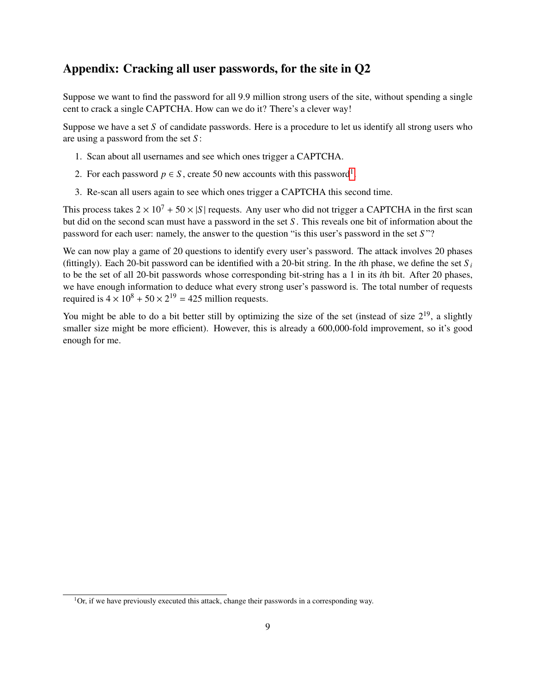# Appendix: Cracking all user passwords, for the site in Q2

Suppose we want to find the password for all 9.9 million strong users of the site, without spending a single cent to crack a single CAPTCHA. How can we do it? There's a clever way!

Suppose we have a set *S* of candidate passwords. Here is a procedure to let us identify all strong users who are using a password from the set *S* :

- 1. Scan about all usernames and see which ones trigger a CAPTCHA.
- 2. For each password  $p \in S$ , create 50 new accounts with this password<sup>[1](#page-8-0)</sup>.
- 3. Re-scan all users again to see which ones trigger a CAPTCHA this second time.

This process takes  $2 \times 10^7 + 50 \times |S|$  requests. Any user who did not trigger a CAPTCHA in the first scan but did on the second scan must have a password in the set *S* . This reveals one bit of information about the password for each user: namely, the answer to the question "is this user's password in the set *S* "?

We can now play a game of 20 questions to identify every user's password. The attack involves 20 phases (fittingly). Each 20-bit password can be identified with a 20-bit string. In the *i*th phase, we define the set  $S_i$ to be the set of all 20-bit passwords whose corresponding bit-string has a 1 in its *i*th bit. After 20 phases, we have enough information to deduce what every strong user's password is. The total number of requests required is  $4 \times 10^8 + 50 \times 2^{19} = 425$  million requests.

You might be able to do a bit better still by optimizing the size of the set (instead of size  $2^{19}$ , a slightly smaller size might be more efficient). However, this is already a 600,000-fold improvement, so it's good enough for me.

<span id="page-8-0"></span> $1$ Or, if we have previously executed this attack, change their passwords in a corresponding way.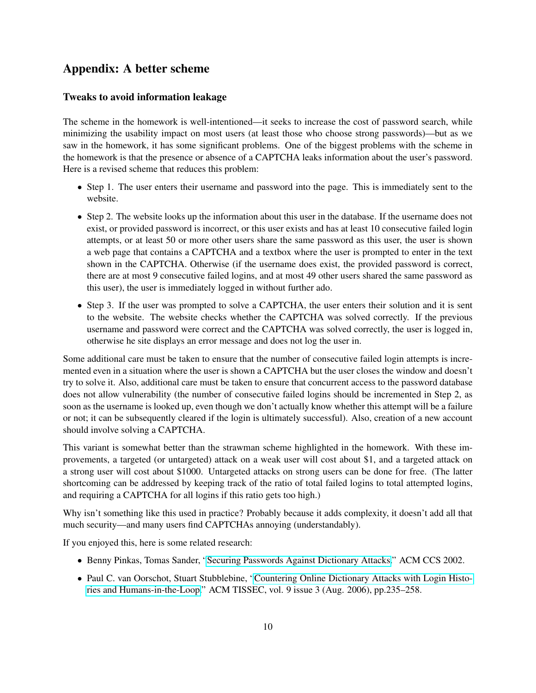# Appendix: A better scheme

## Tweaks to avoid information leakage

The scheme in the homework is well-intentioned—it seeks to increase the cost of password search, while minimizing the usability impact on most users (at least those who choose strong passwords)—but as we saw in the homework, it has some significant problems. One of the biggest problems with the scheme in the homework is that the presence or absence of a CAPTCHA leaks information about the user's password. Here is a revised scheme that reduces this problem:

- Step 1. The user enters their username and password into the page. This is immediately sent to the website.
- Step 2. The website looks up the information about this user in the database. If the username does not exist, or provided password is incorrect, or this user exists and has at least 10 consecutive failed login attempts, or at least 50 or more other users share the same password as this user, the user is shown a web page that contains a CAPTCHA and a textbox where the user is prompted to enter in the text shown in the CAPTCHA. Otherwise (if the username does exist, the provided password is correct, there are at most 9 consecutive failed logins, and at most 49 other users shared the same password as this user), the user is immediately logged in without further ado.
- Step 3. If the user was prompted to solve a CAPTCHA, the user enters their solution and it is sent to the website. The website checks whether the CAPTCHA was solved correctly. If the previous username and password were correct and the CAPTCHA was solved correctly, the user is logged in, otherwise he site displays an error message and does not log the user in.

Some additional care must be taken to ensure that the number of consecutive failed login attempts is incremented even in a situation where the user is shown a CAPTCHA but the user closes the window and doesn't try to solve it. Also, additional care must be taken to ensure that concurrent access to the password database does not allow vulnerability (the number of consecutive failed logins should be incremented in Step 2, as soon as the username is looked up, even though we don't actually know whether this attempt will be a failure or not; it can be subsequently cleared if the login is ultimately successful). Also, creation of a new account should involve solving a CAPTCHA.

This variant is somewhat better than the strawman scheme highlighted in the homework. With these improvements, a targeted (or untargeted) attack on a weak user will cost about \$1, and a targeted attack on a strong user will cost about \$1000. Untargeted attacks on strong users can be done for free. (The latter shortcoming can be addressed by keeping track of the ratio of total failed logins to total attempted logins, and requiring a CAPTCHA for all logins if this ratio gets too high.)

Why isn't something like this used in practice? Probably because it adds complexity, it doesn't add all that much security—and many users find CAPTCHAs annoying (understandably).

If you enjoyed this, here is some related research:

- Benny Pinkas, Tomas Sander, ["Securing Passwords Against Dictionary Attacks.](http://www.pinkas.net/PAPERS/pwdweb.pdf)" ACM CCS 2002.
- Paul C. van Oorschot, Stuart Stubblebine, ["Countering Online Dictionary Attacks with Login Histo](http://www.scs.carleton.ca/%7Epaulv/papers/tissec-aug06.pdf)[ries and Humans-in-the-Loop.](http://www.scs.carleton.ca/%7Epaulv/papers/tissec-aug06.pdf)" ACM TISSEC, vol. 9 issue 3 (Aug. 2006), pp.235–258.